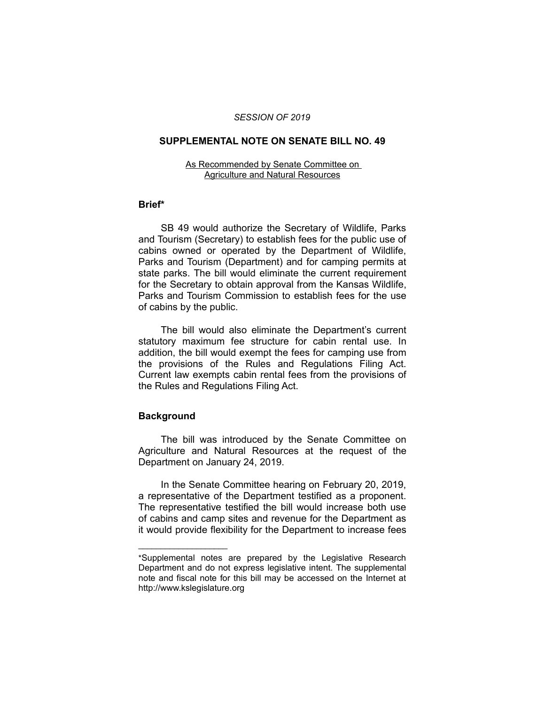### *SESSION OF 2019*

## **SUPPLEMENTAL NOTE ON SENATE BILL NO. 49**

#### As Recommended by Senate Committee on Agriculture and Natural Resources

### **Brief\***

SB 49 would authorize the Secretary of Wildlife, Parks and Tourism (Secretary) to establish fees for the public use of cabins owned or operated by the Department of Wildlife, Parks and Tourism (Department) and for camping permits at state parks. The bill would eliminate the current requirement for the Secretary to obtain approval from the Kansas Wildlife, Parks and Tourism Commission to establish fees for the use of cabins by the public.

The bill would also eliminate the Department's current statutory maximum fee structure for cabin rental use. In addition, the bill would exempt the fees for camping use from the provisions of the Rules and Regulations Filing Act. Current law exempts cabin rental fees from the provisions of the Rules and Regulations Filing Act.

# **Background**

 $\overline{\phantom{a}}$  , where  $\overline{\phantom{a}}$  , where  $\overline{\phantom{a}}$ 

The bill was introduced by the Senate Committee on Agriculture and Natural Resources at the request of the Department on January 24, 2019.

In the Senate Committee hearing on February 20, 2019, a representative of the Department testified as a proponent. The representative testified the bill would increase both use of cabins and camp sites and revenue for the Department as it would provide flexibility for the Department to increase fees

<sup>\*</sup>Supplemental notes are prepared by the Legislative Research Department and do not express legislative intent. The supplemental note and fiscal note for this bill may be accessed on the Internet at http://www.kslegislature.org